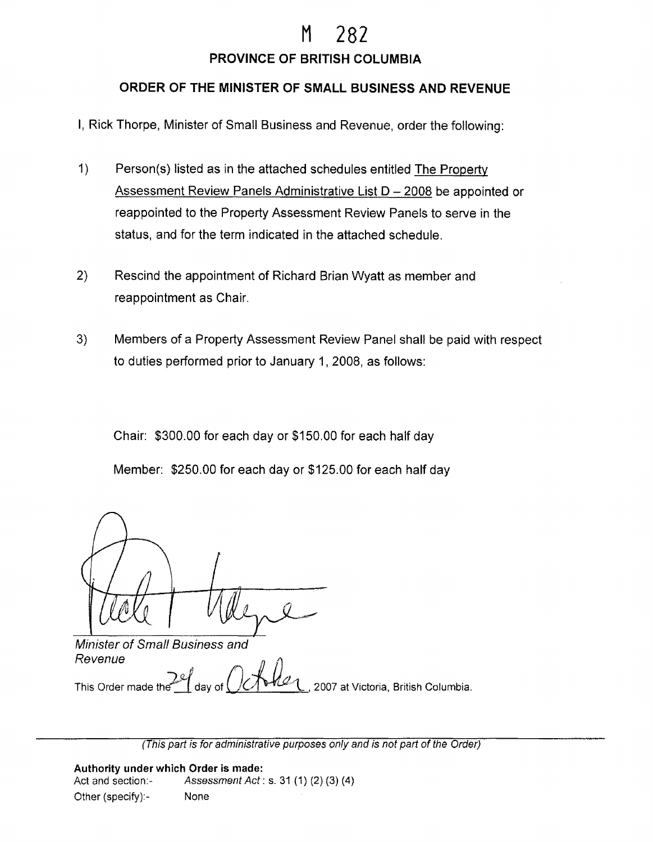## 282

## **PROVINCE OF BRITISH COLUMBIA**

## **ORDER OF THE MINISTER OF SMALL BUSINESS AND REVENUE**

- I, Rick Thorpe, Minister of Small Business and Revenue, order the following:
- 1) Person(s) listed as in the attached schedules entitled The Property Assessment Review Panels Administrative List  $D - 2008$  be appointed or reappointed to the Property Assessment Review Panels to serve in the status, and for the term indicated in the attached schedule.
- 2) Rescind the appointment of Richard Brian Wyatt as member and reappointment as Chair.
- 3) Members of a Property Assessment Review Panel shall be paid with respect to duties performed prior to January 1, 2008, as follows:

Chair: \$300.00 for each day or \$150.00 for each half day

Member: \$250.00 for each day or \$125.00 for each half day

Minister of Small Business and Revenue *µ*  This Order made the  $\mathbb{Z}$  day of

2007 at Victoria, British Columbia.

(This part is for administrative purposes only and is not part of the Order)

**Authority under which Order is made:**  Act and section:- Assessment Act: **s.** 31 (1} (2} (3) (4) Other {specify):- None